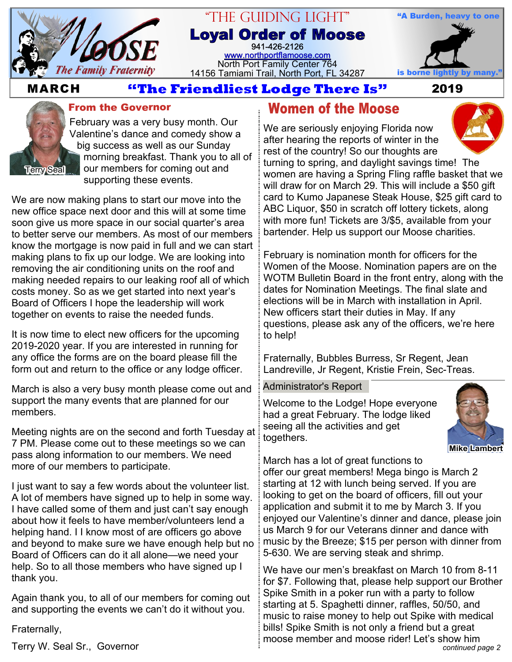

#### "The Guiding Light" **Loyal Order of Moose** 941-426-2126 [www.northportflamoose.com](http://www.northportflamoose.com) North Port Family Center 764 14156 Tamiami Trail, North Port, FL 34287 is borne li



### **MARCH 2019**



**From the Governor**

February was a very busy month. Our Valentine's dance and comedy show a big success as well as our Sunday morning breakfast. Thank you to all of our members for coming out and supporting these events.

We are now making plans to start our move into the new office space next door and this will at some time soon give us more space in our social quarter's area to better serve our members. As most of our members know the mortgage is now paid in full and we can start making plans to fix up our lodge. We are looking into removing the air conditioning units on the roof and making needed repairs to our leaking roof all of which costs money. So as we get started into next year's Board of Officers I hope the leadership will work together on events to raise the needed funds.

It is now time to elect new officers for the upcoming 2019-2020 year. If you are interested in running for any office the forms are on the board please fill the form out and return to the office or any lodge officer.

March is also a very busy month please come out and support the many events that are planned for our members.

Meeting nights are on the second and forth Tuesday at 7 PM. Please come out to these meetings so we can pass along information to our members. We need more of our members to participate.

I just want to say a few words about the volunteer list. A lot of members have signed up to help in some way. I have called some of them and just can't say enough about how it feels to have member/volunteers lend a helping hand. I I know most of are officers go above and beyond to make sure we have enough help but no Board of Officers can do it all alone—we need your help. So to all those members who have signed up I thank you.

Again thank you, to all of our members for coming out and supporting the events we can't do it without you.

Fraternally,

## **Women of the Moose**

We are seriously enjoying Florida now after hearing the reports of winter in the rest of the country! So our thoughts are turning to spring, and daylight savings time! The women are having a Spring Fling raffle basket that we will draw for on March 29. This will include a \$50 gift card to Kumo Japanese Steak House, \$25 gift card to ABC Liquor, \$50 in scratch off lottery tickets, along with more fun! Tickets are 3/\$5, available from your bartender. Help us support our Moose charities.

February is nomination month for officers for the Women of the Moose. Nomination papers are on the WOTM Bulletin Board in the front entry, along with the dates for Nomination Meetings. The final slate and elections will be in March with installation in April. New officers start their duties in May. If any questions, please ask any of the officers, we're here to help!

Fraternally, Bubbles Burress, Sr Regent, Jean Landreville, Jr Regent, Kristie Frein, Sec-Treas.

#### Administrator's Report

Welcome to the Lodge! Hope everyone had a great February. The lodge liked seeing all the activities and get togethers.



March has a lot of great functions to

offer our great members! Mega bingo is March 2 starting at 12 with lunch being served. If you are looking to get on the board of officers, fill out your application and submit it to me by March 3. If you enjoyed our Valentine's dinner and dance, please join us March 9 for our Veterans dinner and dance with music by the Breeze; \$15 per person with dinner from 5-630. We are serving steak and shrimp.

*continued page 2* We have our men's breakfast on March 10 from 8-11 for \$7. Following that, please help support our Brother Spike Smith in a poker run with a party to follow starting at 5. Spaghetti dinner, raffles, 50/50, and music to raise money to help out Spike with medical bills! Spike Smith is not only a friend but a great moose member and moose rider! Let's show him

Terry W. Seal Sr., Governor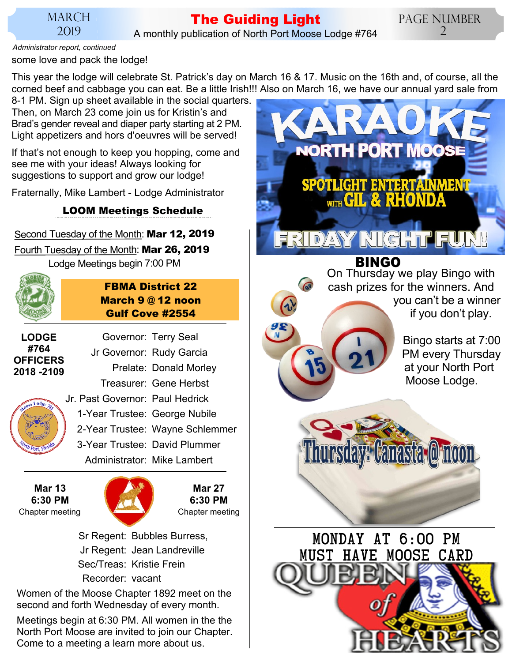### MARCH 2019

# **The Guiding Light**

A monthly publication of North Port Moose Lodge #764

some love and pack the lodge! *Administrator report, continued*

This year the lodge will celebrate St. Patrick's day on March 16 & 17. Music on the 16th and, of course, all the corned beef and cabbage you can eat. Be a little Irish!!! Also on March 16, we have our annual yard sale from

8-1 PM. Sign up sheet available in the social quarters. Then, on March 23 come join us for Kristin's and Brad's gender reveal and diaper party starting at 2 PM. Light appetizers and hors d'oeuvres will be served!

If that's not enough to keep you hopping, come and see me with your ideas! Always looking for suggestions to support and grow our lodge!

Fraternally, Mike Lambert - Lodge Administrator

**LOOM Meetings Schedule**

Second Tuesday of the Month: **Mar 12, 2019**

Fourth Tuesday of the Month: **Mar 26, 2019** Lodge Meetings begin 7:00 PM

**March 9 @ 12 noon Gulf Cove #2554** Governor: Terry Seal

**FBMA District 22**

**LODGE #764 OFFICERS 2018 -2109**

Jr Governor: Rudy Garcia Prelate: Donald Morley Treasurer: Gene Herbst Jr. Past Governor: Paul Hedrick 1-Year Trustee: George Nubile 2-Year Trustee: Wayne Schlemmer 3-Year Trustee: David Plummer Administrator: Mike Lambert

**Mar 13 6:30 PM** Chapter meeting Chapter meeting



**Mar 27 6:30 PM**

 Sr Regent: Bubbles Burress, Jr Regent: Jean Landreville Sec/Treas: Kristie Frein Recorder: vacant

Women of the Moose Chapter 1892 meet on the second and forth Wednesday of every month.

Meetings begin at 6:30 PM. All women in the the North Port Moose are invited to join our Chapter. Come to a meeting a learn more about us.



at your North Port Moose Lodge.